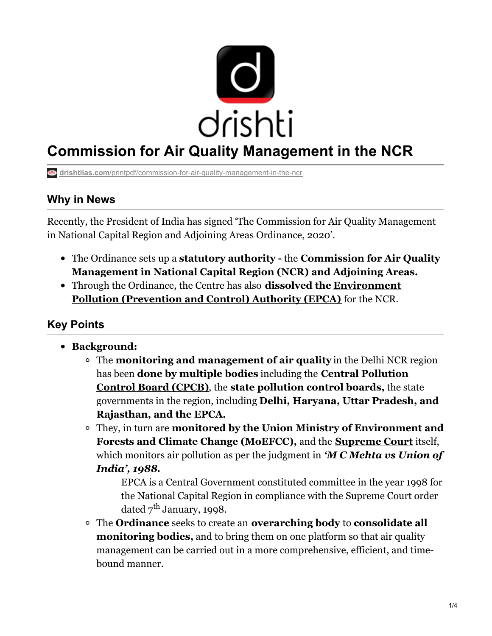

# **Commission for Air Quality Management in the NCR**

**drishtiias.com**[/printpdf/commission-for-air-quality-management-in-the-ncr](https://www.drishtiias.com/printpdf/commission-for-air-quality-management-in-the-ncr)

## **Why in News**

Recently, the President of India has signed 'The Commission for Air Quality Management in National Capital Region and Adjoining Areas Ordinance, 2020'.

- The Ordinance sets up a **statutory authority -** the **Commission for Air Quality Management in National Capital Region (NCR) and Adjoining Areas.**
- Through the Ordinance, the Centre has also **dissolved the [Environment](https://www.drishtiias.com/daily-updates/daily-news-analysis/epca-on-early-burning-of-crop-residue) Pollution (Prevention and Control) Authority (EPCA)** for the NCR.

# **Key Points**

- **Background:**
	- The **monitoring and management of air quality** in the Delhi NCR region has been **done by multiple bodies** including the **Central [Pollution](https://www.drishtiias.com/daily-updates/daily-news-analysis/cpcb-notifies-contaminated-sites) Control Board (CPCB)**, the **state pollution control boards,** the state governments in the region, including **Delhi, Haryana, Uttar Pradesh, and Rajasthan, and the EPCA.**
	- They, in turn are **monitored by the Union Ministry of Environment and Forests and Climate Change (MoEFCC),** and the **[Supreme](https://www.drishtiias.com/important-institutions/drishti-specials-important-institutions-national-institutions/supreme-court-of-india) Court** itself, which monitors air pollution as per the judgment in *'M C Mehta vs Union of India', 1988.*

EPCA is a Central Government constituted committee in the year 1998 for the National Capital Region in compliance with the Supreme Court order dated  $7^{\rm th}$  January, 1998.

The **Ordinance** seeks to create an **overarching body** to **consolidate all monitoring bodies,** and to bring them on one platform so that air quality management can be carried out in a more comprehensive, efficient, and timebound manner.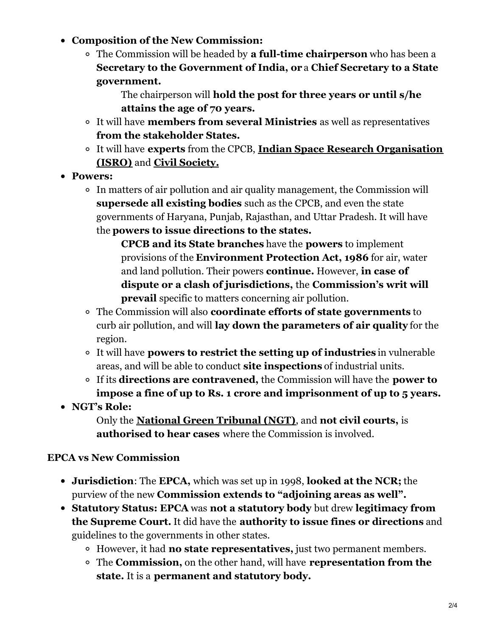- **Composition of the New Commission:**
	- The Commission will be headed by **a full-time chairperson** who has been a **Secretary to the Government of India, or** a **Chief Secretary to a State government.**

The chairperson will **hold the post for three years or until s/he attains the age of 70 years.**

- It will have **members from several Ministries** as well as representatives **from the stakeholder States.**
- It will have **experts** from the CPCB, **Indian Space Research [Organisation](https://www.drishtiias.com/important-institutions/drishti-specials-important-institutions-national-institutions/indian-space-research-organisation-isro) (ISRO)** and **Civil [Society.](https://www.drishtiias.com/daily-updates/daily-news-editorials/role-of-ngos)**
- **Powers:**
	- In matters of air pollution and air quality management, the Commission will **supersede all existing bodies** such as the CPCB, and even the state governments of Haryana, Punjab, Rajasthan, and Uttar Pradesh. It will have the **powers to issue directions to the states.**

**CPCB and its State branches** have the **powers** to implement provisions of the **Environment Protection Act, 1986** for air, water and land pollution. Their powers **continue.** However, **in case of dispute or a clash of jurisdictions,** the **Commission's writ will prevail** specific to matters concerning air pollution.

- The Commission will also **coordinate efforts of state governments** to curb air pollution, and will **lay down the parameters of air quality** for the region.
- It will have **powers to restrict the setting up of industries** in vulnerable areas, and will be able to conduct **site inspections** of industrial units.
- If its **directions are contravened,** the Commission will have the **power to impose a fine of up to Rs. 1 crore and imprisonment of up to 5 years.**
- **NGT's Role:**

Only the **National Green [Tribunal](https://www.drishtiias.com/important-institutions/drishti-specials-important-institutions-national-institutions/national-green-tribunal-ngt) (NGT)**, and **not civil courts,** is **authorised to hear cases** where the Commission is involved.

## **EPCA vs New Commission**

- **Jurisdiction**: The **EPCA,** which was set up in 1998, **looked at the NCR;** the purview of the new **Commission extends to "adjoining areas as well".**
- **Statutory Status: EPCA** was **not a statutory body** but drew **legitimacy from the Supreme Court.** It did have the **authority to issue fines or directions** and guidelines to the governments in other states.
	- However, it had **no state representatives,** just two permanent members.
	- The **Commission,** on the other hand, will have **representation from the state.** It is a **permanent and statutory body.**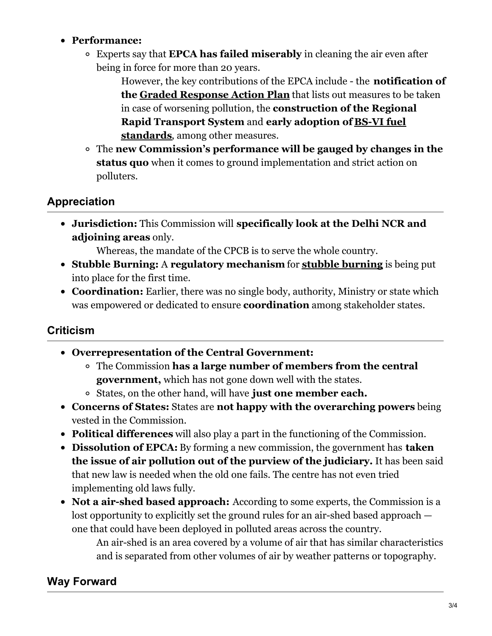#### **Performance:**

Experts say that **EPCA has failed miserably** in cleaning the air even after being in force for more than 20 years.

> However, the key contributions of the EPCA include - the **notification of the Graded [Response](https://www.drishtiias.com/daily-updates/daily-news-analysis/graded-response-action-plan) Action Plan** that lists out measures to be taken in case of worsening pollution, the **construction of the Regional Rapid [Transport](https://www.drishtiias.com/loksabha-rajyasabha-discussions/policy-watch-india-will-shift-to-bs-vi-norms) System** and **early adoption of BS-VI fuel standards**, among other measures.

The **new Commission's performance will be gauged by changes in the status quo** when it comes to ground implementation and strict action on polluters.

## **Appreciation**

**Jurisdiction:** This Commission will **specifically look at the Delhi NCR and adjoining areas** only.

Whereas, the mandate of the CPCB is to serve the whole country.

- **Stubble Burning:** A **regulatory mechanism** for **stubble [burning](https://www.drishtiias.com/daily-updates/daily-news-editorials/stubble-burning-2)** is being put into place for the first time.
- **Coordination:** Earlier, there was no single body, authority, Ministry or state which was empowered or dedicated to ensure **coordination** among stakeholder states.

# **Criticism**

- **Overrepresentation of the Central Government:**
	- The Commission **has a large number of members from the central government,** which has not gone down well with the states.
	- States, on the other hand, will have **just one member each.**
- **Concerns of States:** States are **not happy with the overarching powers** being vested in the Commission.
- **Political differences** will also play a part in the functioning of the Commission.
- **Dissolution of EPCA:** By forming a new commission, the government has **taken the issue of air pollution out of the purview of the judiciary.** It has been said that new law is needed when the old one fails. The centre has not even tried implementing old laws fully.
- **Not a air-shed based approach:** According to some experts, the Commission is a lost opportunity to explicitly set the ground rules for an air-shed based approach one that could have been deployed in polluted areas across the country.

An air-shed is an area covered by a volume of air that has similar characteristics and is separated from other volumes of air by weather patterns or topography.

# **Way Forward**